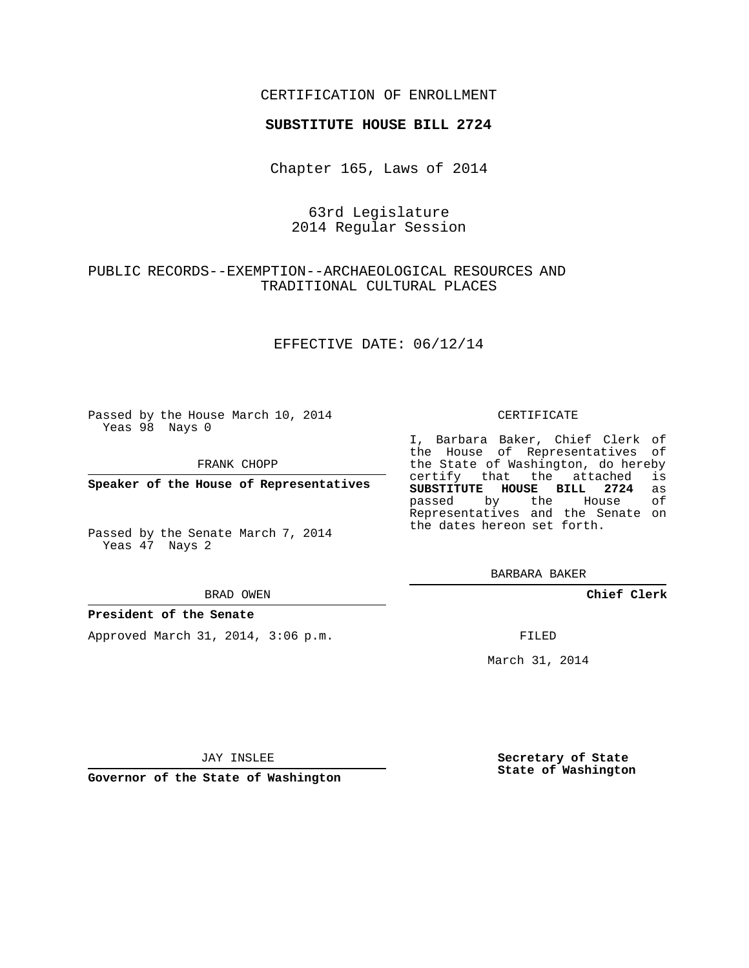## CERTIFICATION OF ENROLLMENT

### **SUBSTITUTE HOUSE BILL 2724**

Chapter 165, Laws of 2014

# 63rd Legislature 2014 Regular Session

# PUBLIC RECORDS--EXEMPTION--ARCHAEOLOGICAL RESOURCES AND TRADITIONAL CULTURAL PLACES

### EFFECTIVE DATE: 06/12/14

Passed by the House March 10, 2014 Yeas 98 Nays 0

FRANK CHOPP

**Speaker of the House of Representatives**

Passed by the Senate March 7, 2014 Yeas 47 Nays 2

#### BRAD OWEN

### **President of the Senate**

Approved March 31, 2014, 3:06 p.m.

### CERTIFICATE

I, Barbara Baker, Chief Clerk of the House of Representatives of the State of Washington, do hereby<br>certify that the attached is certify that the attached **SUBSTITUTE HOUSE BILL 2724** as passed by the House of Representatives and the Senate on the dates hereon set forth.

BARBARA BAKER

**Chief Clerk**

FILED

March 31, 2014

JAY INSLEE

**Governor of the State of Washington**

**Secretary of State State of Washington**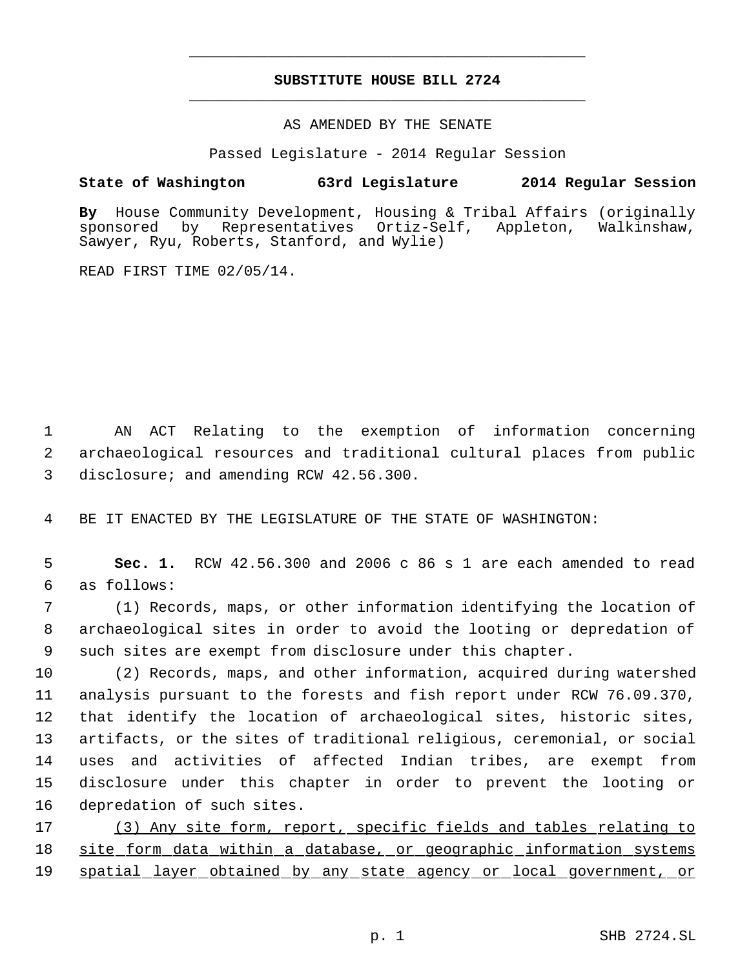# **SUBSTITUTE HOUSE BILL 2724** \_\_\_\_\_\_\_\_\_\_\_\_\_\_\_\_\_\_\_\_\_\_\_\_\_\_\_\_\_\_\_\_\_\_\_\_\_\_\_\_\_\_\_\_\_

\_\_\_\_\_\_\_\_\_\_\_\_\_\_\_\_\_\_\_\_\_\_\_\_\_\_\_\_\_\_\_\_\_\_\_\_\_\_\_\_\_\_\_\_\_

AS AMENDED BY THE SENATE

Passed Legislature - 2014 Regular Session

# **State of Washington 63rd Legislature 2014 Regular Session**

**By** House Community Development, Housing & Tribal Affairs (originally sponsored by Representatives Ortiz-Self, Appleton, Walkinshaw, Sawyer, Ryu, Roberts, Stanford, and Wylie)

READ FIRST TIME 02/05/14.

 1 AN ACT Relating to the exemption of information concerning 2 archaeological resources and traditional cultural places from public 3 disclosure; and amending RCW 42.56.300.

4 BE IT ENACTED BY THE LEGISLATURE OF THE STATE OF WASHINGTON:

 5 **Sec. 1.** RCW 42.56.300 and 2006 c 86 s 1 are each amended to read 6 as follows:

 7 (1) Records, maps, or other information identifying the location of 8 archaeological sites in order to avoid the looting or depredation of 9 such sites are exempt from disclosure under this chapter.

 (2) Records, maps, and other information, acquired during watershed analysis pursuant to the forests and fish report under RCW 76.09.370, that identify the location of archaeological sites, historic sites, artifacts, or the sites of traditional religious, ceremonial, or social uses and activities of affected Indian tribes, are exempt from disclosure under this chapter in order to prevent the looting or depredation of such sites.

17 (3) Any site form, report, specific fields and tables relating to 18 site form data within a database, or geographic information systems 19 spatial layer obtained by any state agency or local government, or